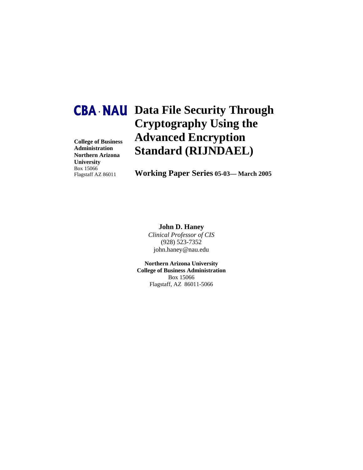**College of Business Administration Northern Arizona University** Box 15066 Flagstaff AZ 86011

## **Data File Security Through CBA • NAU Cryptography Using the Advanced Encryption Standard (RIJNDAEL)**

**Working Paper Series 05-03— March 2005**

### **John D. Haney**

*Clinical Professor of CIS*  (928) 523-7352 john.haney@nau.edu

**Northern Arizona University College of Business Administration**  Box 15066 Flagstaff, AZ 86011-5066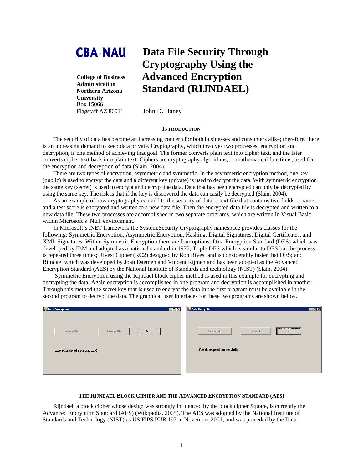# **CBA •NAU**

**College of Business Administration Northern Arizona University**  Box 15066 Flagstaff AZ 86011

### **Data File Security Through Cryptography Using the Advanced Encryption Standard (RIJNDAEL)**

John D. Haney

#### **INTRODUCTION**

The security of data has become an increasing concern for both businesses and consumers alike; therefore, there is an increasing demand to keep data private. Cryptography, which involves two processes: encryption and decryption, is one method of achieving that goal. The former converts plain text into cipher text, and the later converts cipher text back into plain text. Ciphers are cryptography algorithms, or mathematical functions, used for the encryption and decryption of data (Slain, 2004).

There are two types of encryption, asymmetric and symmetric. In the asymmetric encryption method, one key (public) is used to encrypt the data and a different key (private) is used to decrypt the data. With symmetric encryption the same key (secret) is used to encrypt and decrypt the data. Data that has been encrypted can only be decrypted by using the same key. The risk is that if the key is discovered the data can easily be decrypted (Slain, 2004).

As an example of how cryptography can add to the security of data, a text file that contains two fields, a name and a test score is encrypted and written to a new data file. Then the encrypted data file is decrypted and written to a new data file. These two processes are accomplished in two separate programs, which are written in Visual Basic within Microsoft's .NET environment.

In Microsoft's .NET framework the System.Security.Cryptography namespace provides classes for the following: Symmetric Encryption, Asymmetric Encryption, Hashing, Digital Signatures, Digital Certificates, and XML Signatures. Within Symmetric Encryption there are four options: Data Encryption Standard (DES) which was developed by IBM and adopted as a national standard in 1977; Triple DES which is similar to DES but the process is repeated three times; Rivest Cipher (RC2) designed by Ron Rivest and is considerably faster that DES; and Rijndael which was developed by Joan Daemen and Vincent Rijmen and has been adopted as the Advanced Encryption Standard (AES) by the National Institute of Standards and technology (NIST) (Slain, 2004).

 Symmetric Encryption using the Rijndael block cipher method is used in this example for encrypting and decrypting the data. Again encryption is accomplished in one program and decryption is accomplished in another. Through this method the secret key that is used to encrypt the data in the first program must be available in the second program to decrypt the data. The graphical user interfaces for these two programs are shown below.

| <b>Data Encryption</b>              | H <sub>II</sub> | Data Decryption<br><b>EEK</b>       |
|-------------------------------------|-----------------|-------------------------------------|
| Select File<br>Encrypt file<br>Exit |                 | Exit<br>Select File<br>Decrypt file |
| File encrypted successfully!        |                 | File decrypted successfully!        |
|                                     |                 |                                     |

#### **THE RIJNDAEL BLOCK CIPHER AND THE ADVANCED ENCRYPTION STANDARD (AES)**

Rijndael, a block cipher whose design was strongly influenced by the block cipher Square, is currently the Advanced Encryption Standard (AES) (Wikipedia, 2005). The AES was adopted by the National Institute of Standards and Technology (NIST) as US FIPS PUB 197 in November 2001, and was preceded by the Data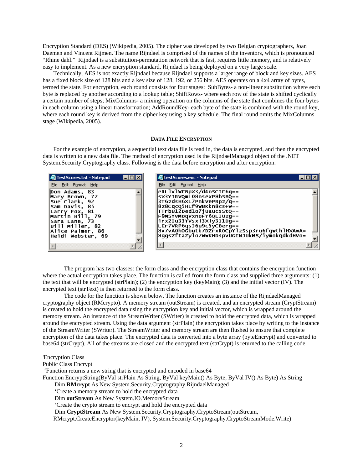Encryption Standard (DES) (Wikipedia, 2005). The cipher was developed by two Belgian cryptographers, Joan Daemen and Vincent Rijmen. The name Rijndael is comprised of the names of the inventors, which is pronounced "Rhine dahl." Rijndael is a substitution-permutation network that is fast, requires little memory, and is relatively easy to implement. As a new encryption standard, Rijndael is being deployed on a very large scale.

Technically, AES is not exactly Rijndael because Rijndael supports a larger range of block and key sizes. AES has a fixed block size of 128 bits and a key size of 128, 192, or 256 bits. AES operates on a 4x4 array of bytes, termed the state. For encryption, each round consists for four stages: SubBytes- a non-linear substitution where each byte is replaced by another according to a lookup table; ShiftRows- where each row of the state is shifted cyclically a certain number of steps; MixColumns- a mixing operation on the columns of the state that combines the four bytes in each column using a linear transformation; AddRoundKey- each byte of the state is combined with the round key, where each round key is derived from the cipher key using a key schedule. The final round omits the MixColumns stage (Wikipedia, 2005).

#### **DATA FILE ENCRYPTION**

For the example of encryption, a sequential text data file is read in, the data is encrypted, and then the encrypted data is written to a new data file. The method of encryption used is the RijndaelManaged object of the .NET System.Security.Cryptography class. Following is the data before encryption and after encryption.



The program has two classes: the form class and the encryption class that contains the encryption function where the actual encryption takes place. The function is called from the form class and supplied three arguments: (1) the text that will be encrypted (strPlain); (2) the encryption key (keyMain); (3) and the initial vector (IV). The encrypted text (strText) is then returned to the form class.

The code for the function is shown below. The function creates an instance of the RijndaelManaged cryptography object (RMcrypto). A memory stream (outStream) is created, and an encrypted stream (CryptStream) is created to hold the encrypted data using the encryption key and initial vector, which is wrapped around the memory stream. An instance of the StreamWriter (SWriter) is created to hold the encrypted data, which is wrapped around the encrypted stream. Using the data argument (strPlain) the encryption takes place by writing to the instance of the StreamWriter (SWriter). The StreamWriter and memory stream are then flushed to ensure that complete encryption of the data takes place. The encrypted data is converted into a byte array (byteEncrypt) and converted to base64 (strCrypt). All of the streams are closed and the encrypted text (strCrypt) is returned to the calling code.

#### 'Encryption Class

Public Class Encrypt

'Function returns a new string that is encrypted and encoded in base64

Function EncryptString(ByVal strPlain As String, ByVal keyMain() As Byte, ByVal IV() As Byte) As String

Dim **RMcrypt** As New System.Security.Cryptography.RijndaelManaged

'Create a memory stream to hold the encrypted data

Dim **outStream** As New System.IO.MemoryStream

'Create the crypto stream to encrypt and hold the encrypted data

Dim **CryptStream** As New System.Security.Cryptography.CryptoStream(outStream,

RMcrypt.CreateEncryptor(keyMain, IV), System.Security.Cryptography.CryptoStreamMode.Write)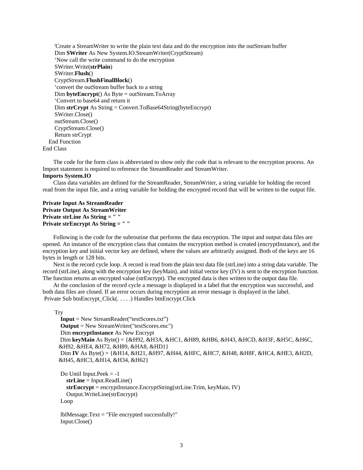'Create a StreamWriter to write the plain text data and do the encryption into the outStream buffer Dim **SWriter** As New System.IO.StreamWriter(CryptStream) 'Now call the write command to do the encryption SWriter.Write(**strPlain**) SWriter.**Flush**() CryptStream.**FlushFinalBlock**() 'convert the outStream buffer back to a string Dim **byteEncrypt**() As Byte = outStream.ToArray 'Convert to base64 and return it Dim **strCrypt** As String = Convert.ToBase64String(byteEncrypt) SWriter.Close() outStream.Close() CryptStream.Close() Return strCrypt End Function End Class

The code for the form class is abbreviated to show only the code that is relevant to the encryption process. An Import statement is required to reference the StreamReader and StreamWriter.

#### **Imports System.IO**

Class data variables are defined for the StreamReader, StreamWriter, a string variable for holding the record read from the input file, and a string variable for holding the encrypted record that will be written to the output file.

#### **Private Input As StreamReader Private Output As StreamWriter Private strLine As String = " " Private strEncrypt As String = " "**

Following is the code for the subroutine that performs the data encryption. The input and output data files are opened. An instance of the encryption class that contains the encryption method is created (encryptInstance), and the encryption key and initial vector key are defined, where the values are arbitrarily assigned. Both of the keys are 16 bytes in length or 128 bits.

Next is the record cycle loop. A record is read from the plain text data file (strLine) into a string data variable. The record (strLine), along with the encryption key (keyMain), and initial vector key (IV) is sent to the encryption function. The function returns an encrypted value (strEncrypt). The encrypted data is then written to the output data file.

At the conclusion of the record cycle a message is displayed in a label that the encryption was successful, and both data files are closed. If an error occurs during encryption an error message is displayed in the label. Private Sub btnEncrypt\_Click(. . . . .) Handles btnEncrypt.Click

#### **Try**

```
 Input = New StreamReader("testScores.txt") 
 Output = New StreamWriter("testScores.enc") 
 Dim encryptInstance As New Encrypt 
 Dim keyMain As Byte() = {&H92, &H3A, &HC1, &H89, &HB6, &H43, &HCD, &H3F, &H5C, &H6C, 
&H92, &HE4, &H72, &H89, &HA8, &HD1} 
Dim IV As Byte() = {&H14, &H21, &H97, &H44, &HFC, &HC7, &H48, &H8F, &HC4, &HE3, &H2D, 
&H45, &HC3, &H14, &H34, &H62}
```
Do Until Input.Pee $k = -1$  **strLine** = Input.ReadLine() **strEncrypt** = encryptInstance.EncryptString(strLine.Trim, keyMain, IV) Output.WriteLine(strEncrypt) Loop

```
 lblMessage.Text = "File encrypted successfully!" 
 Input.Close()
```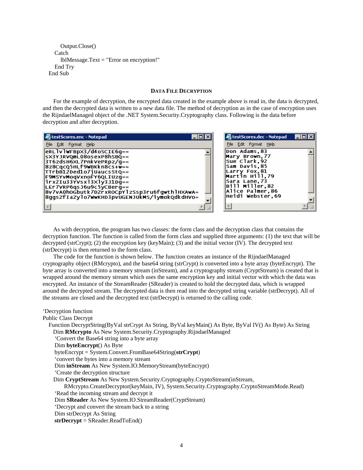```
 Output.Close() 
   Catch 
      lblMessage.Text = "Error on encryption!" 
   End Try 
 End Sub
```
#### **DATA FILE DECRYPTION**

For the example of decryption, the encrypted data created in the example above is read in, the data is decrypted, and then the decrypted data is written to a new data file. The method of decryption as in the case of encryption uses the RijndaelManaged object of the .NET System.Security.Cryptography class. Following is the data before decryption and after decryption.

| testScores.enc - Notepad                                                                                                                                                                                                                                                                                                            | testScores.dec - Notepad                                                                                                                                                     | א וםו∟י |
|-------------------------------------------------------------------------------------------------------------------------------------------------------------------------------------------------------------------------------------------------------------------------------------------------------------------------------------|------------------------------------------------------------------------------------------------------------------------------------------------------------------------------|---------|
| File Edit Format Help                                                                                                                                                                                                                                                                                                               | File Edit Format Help                                                                                                                                                        |         |
| eRLlvlwFBpx3/d4oscIE6q==<br>sx3YJRVQmL08osexP8hSBQ==<br>3T6zdsH6XL7PnkVePRpz/q==<br>8z8CqcQ5HLf9WBKkn8cs+w==<br>TTrbB12Ded1o7jUaucsStQ==<br><b>F9MSYvMoqVxnoFY6QLIUzq==</b><br>irx2Iu33YVsx13X1y3J1Dg==<br>LEr7VRP6qsJ6u9c5yCBerg==<br>8v7vA0hoGbutk7DZrxROCpYlzSsp3ru6fgwthlHXAwA=<br>8ggsZfIaZylo7wwKHD3pvUGENJUkMS/iymokQdkdHVo= | Don Adams,83<br>Mary Brown, 77<br> Sue Clark,92<br>Sam Davis.85<br>Larry Fox, 81<br>Martin Hill,79<br>Sara Lane,73<br> Bill Miller,82<br>Alice Palmer,86<br>Heidi webster,69 |         |
|                                                                                                                                                                                                                                                                                                                                     |                                                                                                                                                                              |         |

As with decryption, the program has two classes: the form class and the decryption class that contains the decryption function. The function is called from the form class and supplied three arguments: (1) the text that will be decrypted (strCrypt); (2) the encryption key (keyMain); (3) and the initial vector (IV). The decrypted text (strDecrypt) is then returned to the form class.

The code for the function is shown below. The function creates an instance of the RijndaelManaged cryptography object (RMcrypto), and the base64 string (strCrypt) is converted into a byte array (byteEncrypt). The byte array is converted into a memory stream (inStream), and a cryptography stream (CryptStream) is created that is wrapped around the memory stream which uses the same encryption key and initial vector with which the data was encrypted. An instance of the StreamReader (SReader) is created to hold the decrypted data, which is wrapped around the decrypted stream. The decrypted data is then read into the decrypted string variable (strDecrypt). All of the streams are closed and the decrypted text (strDecrypt) is returned to the calling code.

'Decryption function Public Class Decrypt Function DecryptString(ByVal strCrypt As String, ByVal keyMain() As Byte, ByVal IV() As Byte) As String Dim **RMcrypto** As New System.Security.Cryptography.RijndaelManaged 'Convert the Base64 string into a byte array Dim **byteEncrypt**() As Byte byteEncrypt = System.Convert.FromBase64String(**strCrypt**) 'convert the bytes into a memory stream Dim **inStream** As New System.IO.MemoryStream(byteEncrypt) 'Create the decryption structure Dim **CryptStream** As New System.Security.Cryptography.CryptoStream(inStream, RMcrypto.CreateDecryptor(keyMain, IV), System.Security.Cryptography.CryptoStreamMode.Read) 'Read the incoming stream and decrypt it Dim **SReader** As New System.IO.StreamReader(CryptStream) 'Decrypt and convert the stream back to a string Dim strDecrypt As String **strDecrypt** = SReader.ReadToEnd()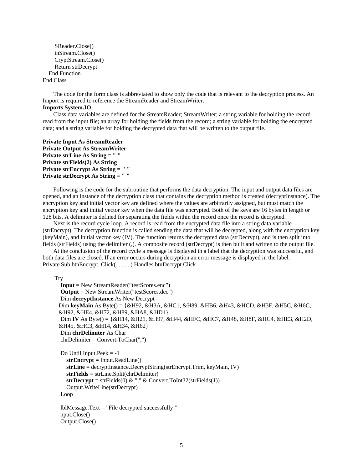SReader.Close() inStream.Close() CryptStream.Close() Return strDecrypt End Function End Class

The code for the form class is abbreviated to show only the code that is relevant to the decryption process. An Import is required to reference the StreamReader and StreamWriter. **Imports System.IO** 

Class data variables are defined for the StreamReader; StreamWriter; a string variable for holding the record read from the input file; an array for holding the fields from the record; a string variable for holding the encrypted data; and a string variable for holding the decrypted data that will be written to the output file.

**Private Input As StreamReader Private Output As StreamWriter Private strLine As String = " " Private strFields(2) As String Private strEncrypt As String = " " Private strDecrypt As String = " "** 

Following is the code for the subroutine that performs the data decryption. The input and output data files are opened, and an instance of the decryption class that contains the decryption method is created (decryptInstance). The encryption key and initial vector key are defined where the values are arbitrarily assigned, but must match the encryption key and initial vector key when the data file was encrypted. Both of the keys are 16 bytes in length or 128 bits. A delimiter is defined for separating the fields within the record once the record is decrypted.

Next is the record cycle loop. A record is read from the encrypted data file into a string data variable (strEncrypt). The decryption function is called sending the data that will be decrypted, along with the encryption key (keyMain), and initial vector key (IV). The function returns the decrypted data (strDecrypt), and is then split into fields (strFields) using the delimiter (,). A composite record (strDecrypt) is then built and written to the output file.

At the conclusion of the record cycle a message is displayed in a label that the decryption was successful, and both data files are closed. If an error occurs during decryption an error message is displayed in the label. Private Sub btnEncrypt\_Click(. . . . . ) Handles btnDecrypt.Click

**Try** 

```
 Input = New StreamReader("testScores.enc") 
 Output = New StreamWriter("testScores.dec") 
 Dim decryptInstance As New Decrypt 
Dim keyMain As Byte() = {&H92, &H3A, &HC1, &H89, &HB6, &H43, &HCD, &H3F, &H5C, &H6C, 
&H92, &HE4, &H72, &H89, &HA8, &HD1} 
Dim IV As Byte() = {&H14, &H21, &H97, &H44, &HFC, &HC7, &H48, &H8F, &HC4, &HE3, &H2D, 
&H45, &HC3, &H14, &H34, &H62} 
 Dim chrDelimiter As Char 
 chrDelimiter = Convert.ToChar(",")
```

```
Do Until Input.Peek = -1 strEncrypt = Input.ReadLine() 
   strLine = decryptInstance.DecryptString(strEncrypt.Trim, keyMain, IV) 
   strFields = strLine.Split(chrDelimiter) 
  strDecrypt = strFields(0) \& "," \& Convert.ToInt32(strFields(1))
   Output.WriteLine(strDecrypt) 
 Loop
```
 lblMessage.Text = "File decrypted successfully!" nput.Close() Output.Close()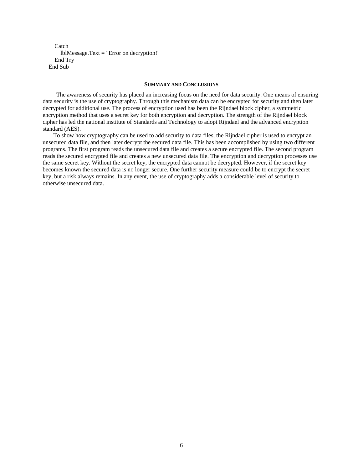Catch lblMessage.Text = "Error on decryption!" End Try End Sub

#### **SUMMARY AND CONCLUSIONS**

 The awareness of security has placed an increasing focus on the need for data security. One means of ensuring data security is the use of cryptography. Through this mechanism data can be encrypted for security and then later decrypted for additional use. The process of encryption used has been the Rijndael block cipher, a symmetric encryption method that uses a secret key for both encryption and decryption. The strength of the Rijndael block cipher has led the national institute of Standards and Technology to adopt Rijndael and the advanced encryption standard (AES).

To show how cryptography can be used to add security to data files, the Rijndael cipher is used to encrypt an unsecured data file, and then later decrypt the secured data file. This has been accomplished by using two different programs. The first program reads the unsecured data file and creates a secure encrypted file. The second program reads the secured encrypted file and creates a new unsecured data file. The encryption and decryption processes use the same secret key. Without the secret key, the encrypted data cannot be decrypted. However, if the secret key becomes known the secured data is no longer secure. One further security measure could be to encrypt the secret key, but a risk always remains. In any event, the use of cryptography adds a considerable level of security to otherwise unsecured data.